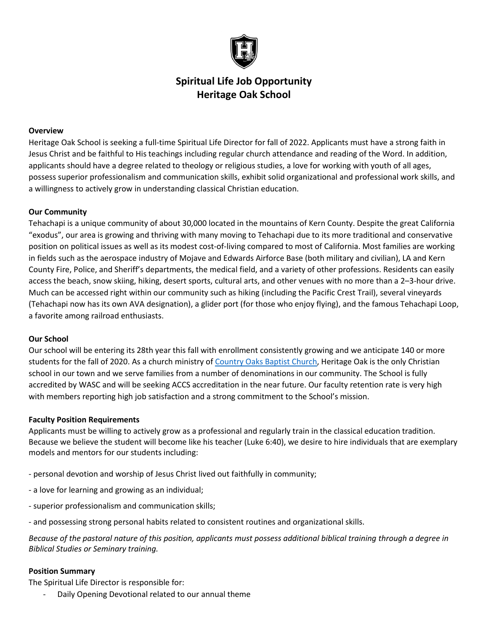

## **Spiritual Life Job Opportunity Heritage Oak School**

## **Overview**

Heritage Oak School is seeking a full-time Spiritual Life Director for fall of 2022. Applicants must have a strong faith in Jesus Christ and be faithful to His teachings including regular church attendance and reading of the Word. In addition, applicants should have a degree related to theology or religious studies, a love for working with youth of all ages, possess superior professionalism and communication skills, exhibit solid organizational and professional work skills, and a willingness to actively grow in understanding classical Christian education.

### **Our Community**

Tehachapi is a unique community of about 30,000 located in the mountains of Kern County. Despite the great California "exodus", our area is growing and thriving with many moving to Tehachapi due to its more traditional and conservative position on political issues as well as its modest cost-of-living compared to most of California. Most families are working in fields such as the aerospace industry of Mojave and Edwards Airforce Base (both military and civilian), LA and Kern County Fire, Police, and Sheriff's departments, the medical field, and a variety of other professions. Residents can easily access the beach, snow skiing, hiking, desert sports, cultural arts, and other venues with no more than a 2–3-hour drive. Much can be accessed right within our community such as hiking (including the Pacific Crest Trail), several vineyards (Tehachapi now has its own AVA designation), a glider port (for those who enjoy flying), and the famous Tehachapi Loop, a favorite among railroad enthusiasts.

#### **Our School**

Our school will be entering its 28th year this fall with enrollment consistently growing and we anticipate 140 or more students for the fall of 2020. As a church ministry of [Country Oaks Baptist Church,](https://www.countryoaks.org/) Heritage Oak is the only Christian school in our town and we serve families from a number of denominations in our community. The School is fully accredited by WASC and will be seeking ACCS accreditation in the near future. Our faculty retention rate is very high with members reporting high job satisfaction and a strong commitment to the School's mission.

### **Faculty Position Requirements**

Applicants must be willing to actively grow as a professional and regularly train in the classical education tradition. Because we believe the student will become like his teacher (Luke 6:40), we desire to hire individuals that are exemplary models and mentors for our students including:

- personal devotion and worship of Jesus Christ lived out faithfully in community;
- a love for learning and growing as an individual;
- superior professionalism and communication skills;
- and possessing strong personal habits related to consistent routines and organizational skills.

*Because of the pastoral nature of this position, applicants must possess additional biblical training through a degree in Biblical Studies or Seminary training.* 

#### **Position Summary**

The Spiritual Life Director is responsible for:

Daily Opening Devotional related to our annual theme